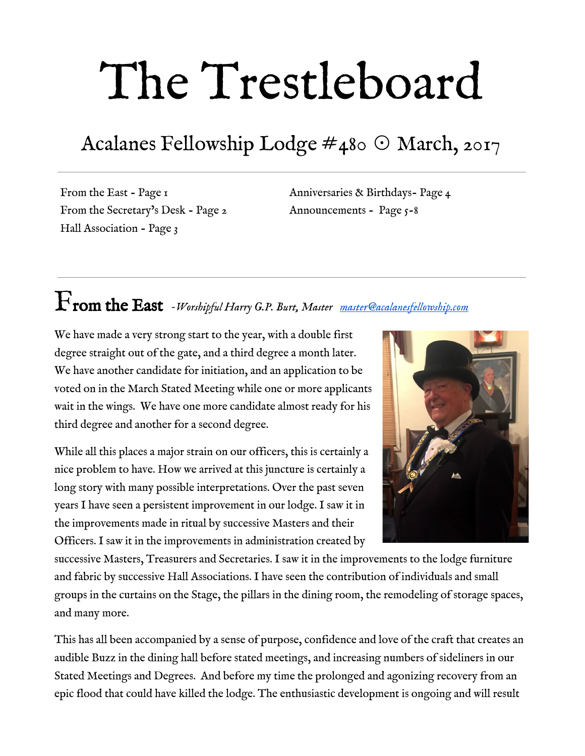# The Trestleboard

## Acalanes Fellowship Lodge #480 ☉ March, 2017

From the East - Page 1 From the Secretary's Desk - Page 2 Hall Association - Page 3

Anniversaries & Birthdays- Page 4 Announcements - Page 5-8

# From the East *-Worshipful Harry G.P. Burt, Master [master@acalanesfellowship.com](mailto:master@acalanesfellowship.com)*

We have made a very strong start to the year, with a double first degree straight out of the gate, and a third degree a month later. We have another candidate for initiation, and an application to be voted on in the March Stated Meeting while one or more applicants wait in the wings. We have one more candidate almost ready for his third degree and another for a second degree.

While all this places a major strain on our officers, this is certainly a nice problem to have. How we arrived at this juncture is certainly a long story with many possible interpretations. Over the past seven years I have seen a persistent improvement in our lodge. I saw it in the improvements made in ritual by successive Masters and their Officers. I saw it in the improvements in administration created by



successive Masters, Treasurers and Secretaries. I saw it in the improvements to the lodge furniture and fabric by successive Hall Associations. I have seen the contribution of individuals and small groups in the curtains on the Stage, the pillars in the dining room, the remodeling of storage spaces, and many more.

This has all been accompanied by a sense of purpose, confidence and love of the craft that creates an audible Buzz in the dining hall before stated meetings, and increasing numbers of sideliners in our Stated Meetings and Degrees. And before my time the prolonged and agonizing recovery from an epic flood that could have killed the lodge. The enthusiastic development is ongoing and will result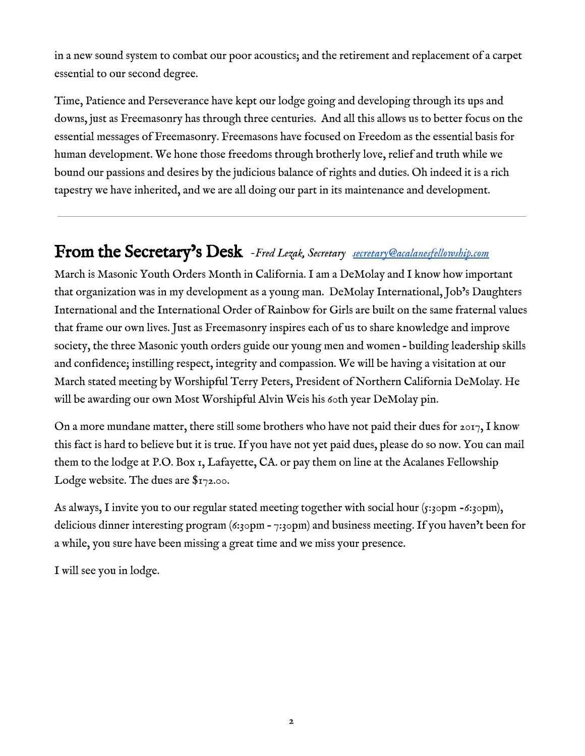in a new sound system to combat our poor acoustics; and the retirement and replacement of a carpet essential to our second degree.

Time, Patience and Perseverance have kept our lodge going and developing through its ups and downs, just as Freemasonry has through three centuries. And all this allows us to better focus on the essential messages of Freemasonry. Freemasons have focused on Freedom as the essential basis for human development. We hone those freedoms through brotherly love, relief and truth while we bound our passions and desires by the judicious balance of rights and duties. Oh indeed it is a rich tapestry we have inherited, and we are all doing our part in its maintenance and development.

### From the Secretary's Desk *-Fred Lezak, Secretary [secretary@acalanesfellowship.com](mailto:secretary@acalanesfellowship.com)*

March is Masonic Youth Orders Month in California. I am a DeMolay and I know how important that organization was in my development as a young man. DeMolay International, Job's Daughters International and the International Order of Rainbow for Girls are built on the same fraternal values that frame our own lives. Just as Freemasonry inspires each of us to share knowledge and improve society, the three Masonic youth orders guide our young men and women – building leadership skills and confidence; instilling respect, integrity and compassion. We will be having a visitation at our March stated meeting by Worshipful Terry Peters, President of Northern California DeMolay. He will be awarding our own Most Worshipful Alvin Weis his 60th year DeMolay pin.

On a more mundane matter, there still some brothers who have not paid their dues for  $2017$ , I know this fact is hard to believe but it is true. If you have not yet paid dues, please do so now. You can mail them to the lodge at P.O. Box 1, Lafayette, CA. or pay them on line at the Acalanes Fellowship Lodge website. The dues are  $\frac{6}{72.00}$ .

As always, I invite you to our regular stated meeting together with social hour  $(s:z<sub>3</sub>opm - 6:z<sub>3</sub>opm)$ , delicious dinner interesting program (6:30pm – 7:30pm) and business meeting. If you haven't been for a while, you sure have been missing a great time and we miss your presence.

I will see you in lodge.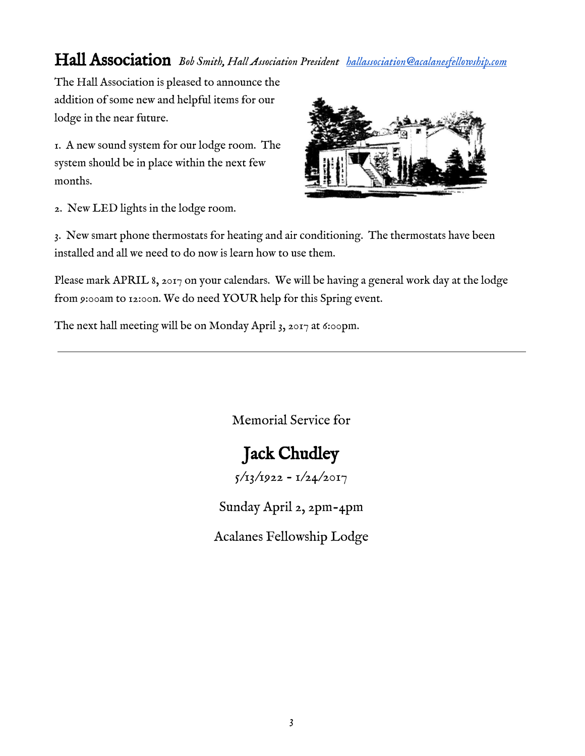### Hall Association *Bob Smith, Hall Association President [hallassociation@acalanesfellowship.com](mailto:hallassociation@acalanesfellowship.com)*

The Hall Association is pleased to announce the addition of some new and helpful items for our lodge in the near future.

1. A new sound system for our lodge room. The system should be in place within the next few months.



2. New LED lights in the lodge room.

3. New smart phone thermostats for heating and air conditioning. The thermostats have been installed and all we need to do now is learn how to use them.

Please mark APRIL 8, 2017 on your calendars. We will be having a general work day at the lodge from 9:00am to 12:00n. We do need YOUR help for this Spring event.

The next hall meeting will be on Monday April 3, 2017 at 6:00pm.

Memorial Service for

### Jack Chudley

 $5/13/1922 - 1/24/2017$ 

Sunday April 2, 2pm-4pm

Acalanes Fellowship Lodge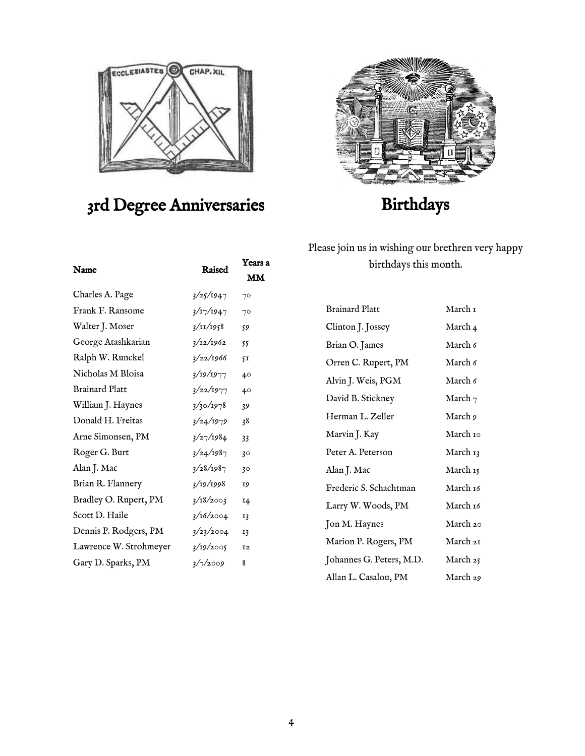

### 3rd Degree Anniversaries





### Birthdays

Please join us in wishing our brethren very happy birthdays this month.

| <b>Brainard Platt</b>    | March 1    |
|--------------------------|------------|
| Clinton J. Jossey        | March 4    |
| Brian O. James           | March 6    |
| Orren C. Rupert, PM      | March 6    |
| Alvin J. Weis, PGM       | March 6    |
| David B. Stickney        | March $_7$ |
| Herman L. Zeller         | March 9    |
| Marvin J. Kay            | March 10   |
| Peter A. Peterson        | March 13   |
| Alan J. Mac              | March 15   |
| Frederic S. Schachtman   | March 16   |
| Larry W. Woods, PM       | March 16   |
| Jon M. Haynes            | March 20   |
| Marion P. Rogers, PM     | March 21   |
| Johannes G. Peters, M.D. | March 25   |
| Allan L. Casalou, PM     | March 29   |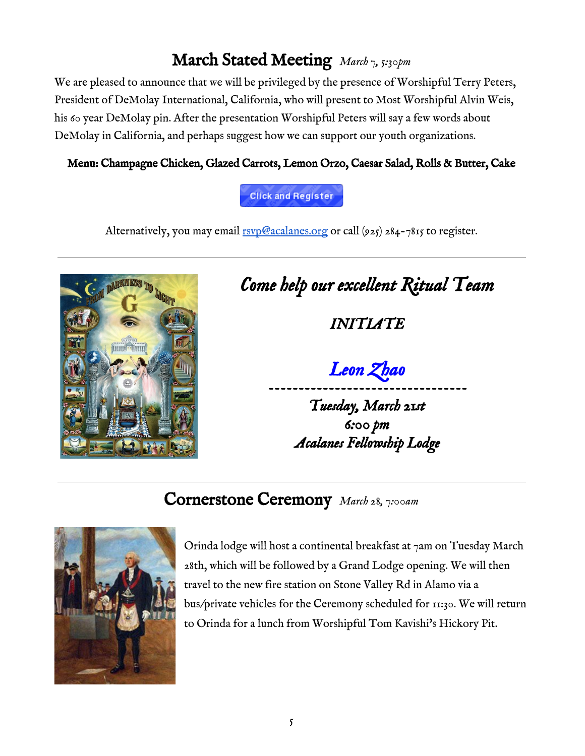### March Stated Meeting *March 7, 5:30pm*

We are pleased to announce that we will be privileged by the presence of Worshipful Terry Peters, President of DeMolay International, California, who will present to Most Worshipful Alvin Weis, his 60 year DeMolay pin. After the presentation Worshipful Peters will say a few words about DeMolay in California, and perhaps suggest how we can support our youth organizations.

#### Menu: Champagne Chicken, Glazed Carrots, Lemon Orzo, Caesar Salad, Rolls & Butter, Cake

Click and Register

Alternatively, you may email  $rsvp@acalanes.org$  or call (925) 284-7815 to register.



# *Come help our excellent Ritual Team*

*INITIATE* 

*Leon Zhao* 

*--------------------------------- Tuesday, March 21st 6:00 pm Acalanes Fellowship Lodge*

### Cornerstone Ceremony *March 28, 7:00am*



Orinda lodge will host a continental breakfast at  $\tau$ am on Tuesday March 28th, which will be followed by a Grand Lodge opening. We will then travel to the new fire station on Stone Valley Rd in Alamo via a bus/private vehicles for the Ceremony scheduled for 11:30. We will return to Orinda for a lunch from Worshipful Tom Kavishi's Hickory Pit.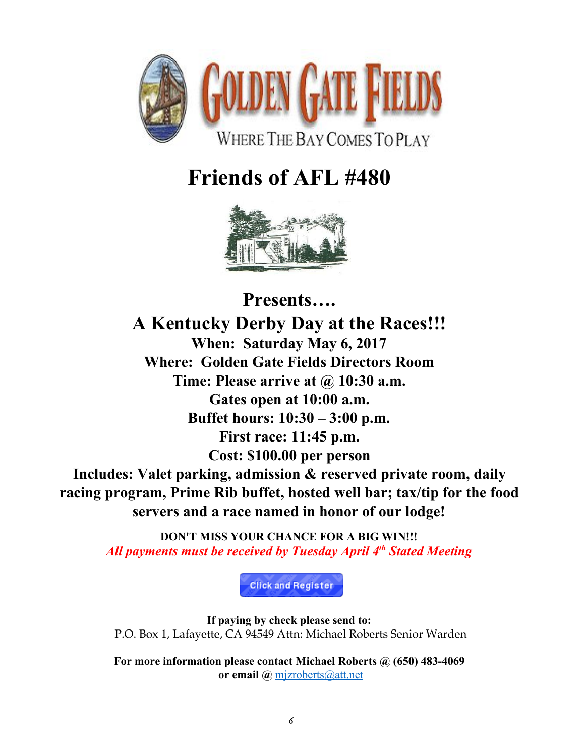

# **Friends of AFL #480**



**Presents…. A Kentucky Derby Day at the Races!!! When: Saturday May 6, 2017 Where: Golden Gate Fields Directors Room Time: Please arrive at @ 10:30 a.m. Gates open at 10:00 a.m. Buffet hours: 10:30 – 3:00 p.m. First race: 11:45 p.m. Cost: \$100.00 per person Includes: Valet parking, admission & reserved private room, daily racing program, Prime Rib buffet, hosted well bar; tax/tip for the food servers and a race named in honor of our lodge!**

**DON'T MISS YOUR CHANCE FOR A BIG WIN!!!** All payments must be received by Tuesday April 4<sup>th</sup> Stated Meeting

**Click and Register** 

**If paying by check please send to:** P.O. Box 1, Lafayette, CA 94549 Attn: Michael Roberts Senior Warden

**For more information please contact Michael Roberts @ (650) 483-4069 or email @** [mjzroberts@att.net](mailto:mjzroberts@att.net)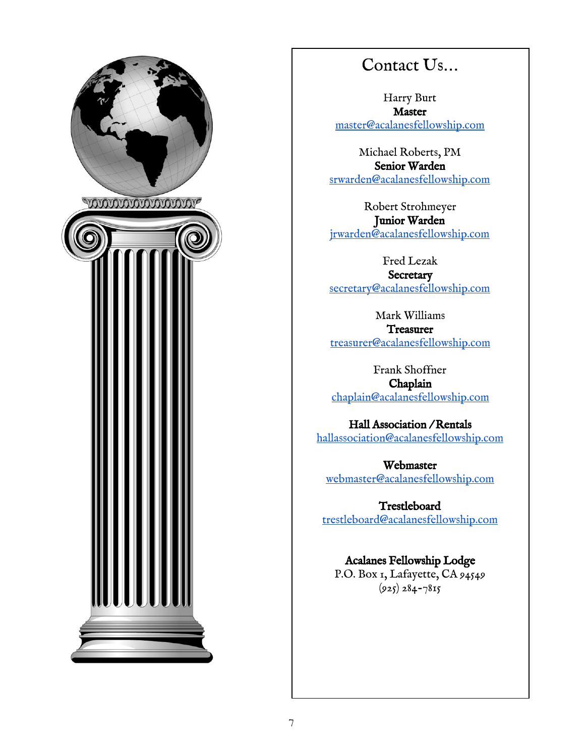

### Contact Us…

Harry Burt Master [master@acalanesfellowship.com](mailto:master@acalanesfellowship.com)

Michael Roberts, PM Senior Warden [srwarden@acalanesfellowship.com](mailto:srwarden@acalanesfellowship.com)

Robert Strohmeyer Junior Warden [jrwarden@acalanesfellowship.com](mailto:jrwarden@acalanesfellowship.com)

Fred Lezak **Secretary** [secretary@acalanesfellowship.com](mailto:secretary@acalanesfellowship.com)

Mark Williams **Treasurer** [treasurer@acalanesfellowship.com](mailto:treasurer@acalanesfellowship.com)

Frank Shoffner Chaplain [chaplain@acalanesfellowship.com](mailto:chaplain@acalanesfellowship.com)

Hall Association / Rentals [hallassociation@acalanesfellowship.com](mailto:hallassociation@acalanesfellowship.com)

Webmaster [webmaster@acalanesfellowship.com](mailto:webmaster@acalanesfellowship.com)

**Trestleboard** [trestleboard@acalanesfellowship.com](mailto:trestleboard@acalanesfellowship.com)

#### Acalanes Fellowship Lodge

P.O. Box 1, Lafayette, CA 94549  $(925) 284 - 7815$